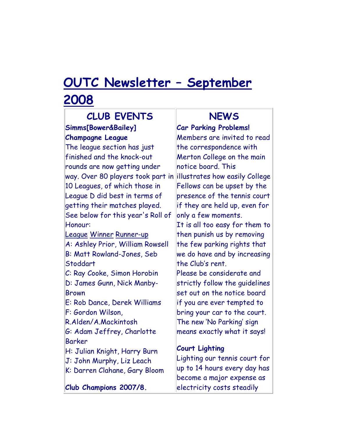## **OUTC Newsletter – September 2008**

#### **CLUB EVENTS Simms[Bower&Bailey] Champagne League** The league section has just finished and the knock-out rounds are now getting under way. Over 80 players took part in illustrates how easily College 10 Leagues, of which those in League D did best in terms of getting their matches played. See below for this year's Roll of Honour: League Winner Runner-up A: Ashley Prior, William Rowsell B: Matt Rowland-Jones, Seb Stoddart C: Ray Cooke, Simon Horobin D: James Gunn, Nick Manby-Brown E: Rob Dance, Derek Williams

F: Gordon Wilson, R.Alden/A.Mackintosh G: Adam Jeffrey, Charlotte Barker H: Julian Knight, Harry Burn

J: John Murphy, Liz Leach

K: Darren Clahane, Gary Bloom

**Club Champions 2007/8.**

### **NEWS**

**Car Parking Problems!** Members are invited to read the correspondence with Merton College on the main notice board. This Fellows can be upset by the presence of the tennis court if they are held up, even for only a few moments. It is all too easy for them to then punish us by removing the few parking rights that we do have and by increasing the Club's rent. Please be considerate and strictly follow the guidelines set out on the notice board if you are ever tempted to bring your car to the court. The new 'No Parking' sign means exactly what it says!

#### **Court Lighting**

Lighting our tennis court for up to 14 hours every day has become a major expense as electricity costs steadily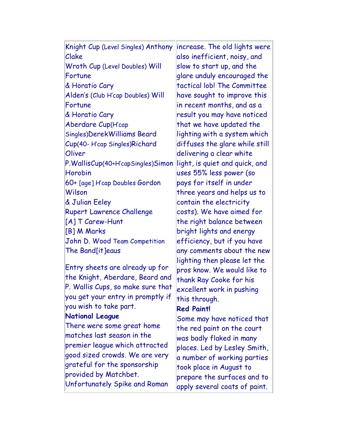| Knight Cup (Level Singles) Anthony | increase. The old lights were  |
|------------------------------------|--------------------------------|
| Clake                              | also inefficient, noisy, and   |
| Wroth Cup (Level Doubles) Will     | slow to start up, and the      |
| Fortune                            | glare unduly encouraged the    |
| & Horatio Cary                     | tactical lob! The Committee    |
| Alden's (Club H'cap Doubles) Will  | have sought to improve this    |
| Fortune                            | in recent months, and as a     |
| & Horatio Cary                     | result you may have noticed    |
| Aberdare Cup(H'cap                 | that we have updated the       |
| Singles)DerekWilliams Beard        | lighting with a system which   |
| Cup(40-H'cap Singles)Richard       | diffuses the glare while still |
| Oliver                             | delivering a clear white       |
| P.WallisCup(40+H'capSingles)Simon  | light, is quiet and quick, and |
| Horobin                            | uses 55% less power (so        |
| 60+ [age] H'cap Doubles Gordon     | pays for itself in under       |
| Wilson                             | three years and helps us to    |
| & Julian Eeley                     | contain the electricity        |
| <b>Rupert Lawrence Challenge</b>   | costs). We have aimed for      |
| [A] T Carew-Hunt                   | the right balance between      |
| [B] M Marks                        | bright lights and energy       |
| John D. Wood Team Competition      | efficiency, but if you have    |
| The Band[it]eaus                   | any comments about the new     |
|                                    | lighting then please let the   |
| Entry sheets are already up for    | pros know. We would like to    |
| the Knight, Aberdare, Beard and    | thank Ray Cooke for his        |
| P. Wallis Cups, so make sure that  | excellent work in pushing      |
| you get your entry in promptly if  | this through.                  |
| you wish to take part.             | <b>Red Paint!</b>              |
| <b>National League</b>             | Some may have noticed that     |
| There were some great home         | the red paint on the court     |
| matches last season in the         | was badly flaked in many       |
| premier league which attracted     | places. Led by Lesley Smith,   |
| good sized crowds. We are very     | a number of working parties    |
| grateful for the sponsorship       | took place in August to        |
| provided by Matchbet.              | prepare the surfaces and to    |
| Unfortunately Spike and Roman      | apply several coats of paint.  |
|                                    |                                |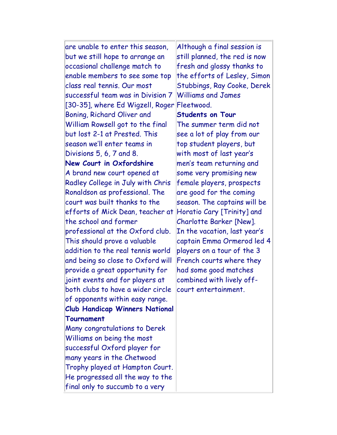are unable to enter this season, but we still hope to arrange an occasional challenge match to enable members to see some top class real tennis. Our most successful team was in Division 7 [30-35], where Ed Wigzell, Roger Fleetwood. Boning, Richard Oliver and William Rowsell got to the final but lost 2-1 at Prested. This season we'll enter teams in Divisions 5, 6, 7 and 8. **New Court in Oxfordshire** A brand new court opened at Radley College in July with Chris Ronaldson as professional. The court was built thanks to the efforts of Mick Dean, teacher at Horatio Cary [Trinity] and the school and former professional at the Oxford club. This should prove a valuable addition to the real tennis world and being so close to Oxford will provide a great opportunity for joint events and for players at both clubs to have a wider circle of opponents within easy range. **Club Handicap Winners National Tournament**  Many congratulations to Derek Williams on being the most successful Oxford player for many years in the Chetwood Trophy played at Hampton Court. He progressed all the way to the final only to succumb to a very Although a final session is still planned, the red is now fresh and glossy thanks to the efforts of Lesley, Simon Stubbings, Ray Cooke, Derek Williams and James **Students on Tour** The summer term did not see a lot of play from our top student players, but with most of last year's men's team returning and some very promising new female players, prospects are good for the coming season. The captains will be Charlotte Barker [New]. In the vacation, last year's captain Emma Ormerod led 4 players on a tour of the 3 French courts where they had some good matches combined with lively offcourt entertainment.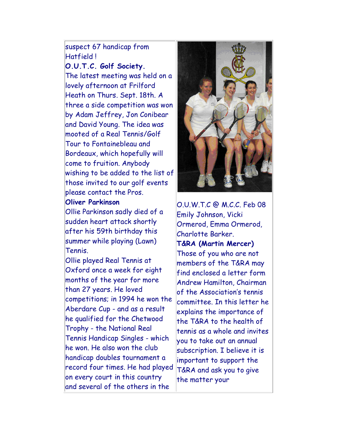#### suspect 67 handicap from Hatfield !

**O.U.T.C. Golf Society.**

The latest meeting was held on a lovely afternoon at Frilford Heath on Thurs. Sept. 18th. A three a side competition was won by Adam Jeffrey, Jon Conibear and David Young. The idea was mooted of a Real Tennis/Golf Tour to Fontainebleau and Bordeaux, which hopefully will come to fruition. Anybody wishing to be added to the list of those invited to our golf events please contact the Pros.

#### **Oliver Parkinson**

Ollie Parkinson sadly died of a sudden heart attack shortly after his 59th birthday this summer while playing (Lawn) Tennis.

Ollie played Real Tennis at Oxford once a week for eight months of the year for more than 27 years. He loved competitions; in 1994 he won the Aberdare Cup - and as a result he qualified for the Chetwood Trophy - the National Real Tennis Handicap Singles - which he won. He also won the club handicap doubles tournament a record four times. He had played on every court in this country and several of the others in the



O.U.W.T.C @ M.C.C. Feb 08 Emily Johnson, Vicki Ormerod, Emma Ormerod, Charlotte Barker. **T&RA (Martin Mercer)** Those of you who are not members of the T&RA may find enclosed a letter form Andrew Hamilton, Chairman of the Association's tennis committee. In this letter he explains the importance of the T&RA to the health of tennis as a whole and invites you to take out an annual subscription. I believe it is important to support the T&RA and ask you to give the matter your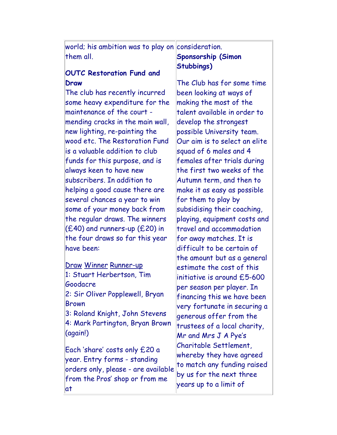world; his ambition was to play on $\|$ consideration. them all. **Sponsorship (Simon** 

#### **OUTC Restoration Fund and Draw**

The club has recently incurred some heavy expenditure for the maintenance of the court mending cracks in the main wall, new lighting, re-painting the wood etc. The Restoration Fund is a valuable addition to club funds for this purpose, and is always keen to have new subscribers. In addition to helping a good cause there are several chances a year to win some of your money back from the regular draws. The winners (£40) and runners-up (£20) in the four draws so far this year have been:

Draw Winner Runner-up 1: Stuart Herbertson, Tim Goodacre 2: Sir Oliver Popplewell, Bryan Brown 3: Roland Knight, John Stevens 4: Mark Partington, Bryan Brown (again!)

Each 'share' costs only £20 a year. Entry forms - standing orders only, please - are available from the Pros' shop or from me at

# **Stubbings)**

The Club has for some time been looking at ways of making the most of the talent available in order to develop the strongest possible University team. Our aim is to select an elite squad of 6 males and 4 females after trials during the first two weeks of the Autumn term, and then to make it as easy as possible for them to play by subsidising their coaching, playing, equipment costs and travel and accommodation for away matches. It is difficult to be certain of the amount but as a general estimate the cost of this initiative is around £5-600 per season per player. In financing this we have been very fortunate in securing a generous offer from the trustees of a local charity, Mr and Mrs J A Pye's Charitable Settlement, whereby they have agreed to match any funding raised by us for the next three years up to a limit of